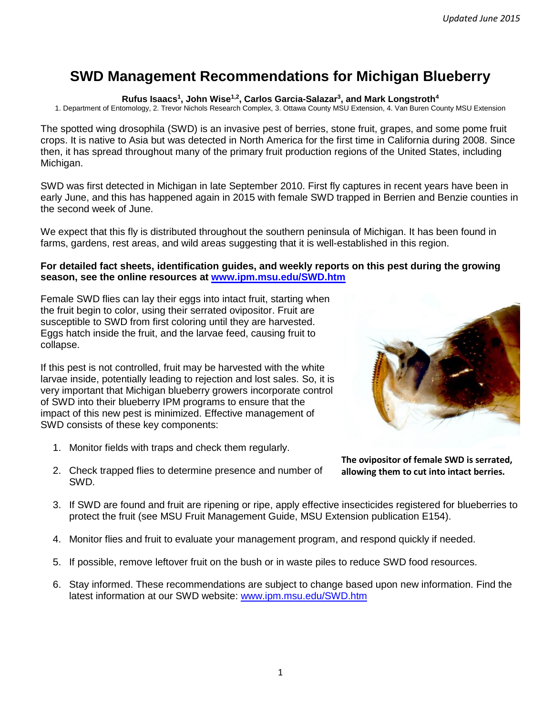# **SWD Management Recommendations for Michigan Blueberry**

**Rufus Isaacs<sup>1</sup> , John Wise1,2, Carlos Garcia-Salazar<sup>3</sup> , and Mark Longstroth<sup>4</sup>**

1. Department of Entomology, 2. Trevor Nichols Research Complex, 3. Ottawa County MSU Extension, 4. Van Buren County MSU Extension

The spotted wing drosophila (SWD) is an invasive pest of berries, stone fruit, grapes, and some pome fruit crops. It is native to Asia but was detected in North America for the first time in California during 2008. Since then, it has spread throughout many of the primary fruit production regions of the United States, including Michigan.

SWD was first detected in Michigan in late September 2010. First fly captures in recent years have been in early June, and this has happened again in 2015 with female SWD trapped in Berrien and Benzie counties in the second week of June.

We expect that this fly is distributed throughout the southern peninsula of Michigan. It has been found in farms, gardens, rest areas, and wild areas suggesting that it is well-established in this region.

## **For detailed fact sheets, identification guides, and weekly reports on this pest during the growing season, see the online resources at [www.ipm.msu.edu/SWD.htm](http://www.ipm.msu.edu/SWD.htm)**

Female SWD flies can lay their eggs into intact fruit, starting when the fruit begin to color, using their serrated ovipositor. Fruit are susceptible to SWD from first coloring until they are harvested. Eggs hatch inside the fruit, and the larvae feed, causing fruit to collapse.

If this pest is not controlled, fruit may be harvested with the white larvae inside, potentially leading to rejection and lost sales. So, it is very important that Michigan blueberry growers incorporate control of SWD into their blueberry IPM programs to ensure that the impact of this new pest is minimized. Effective management of SWD consists of these key components:

1. Monitor fields with traps and check them regularly.



**The ovipositor of female SWD is serrated, allowing them to cut into intact berries.** 

- 2. Check trapped flies to determine presence and number of SWD.
- 3. If SWD are found and fruit are ripening or ripe, apply effective insecticides registered for blueberries to protect the fruit (see MSU Fruit Management Guide, MSU Extension publication E154).
- 4. Monitor flies and fruit to evaluate your management program, and respond quickly if needed.
- 5. If possible, remove leftover fruit on the bush or in waste piles to reduce SWD food resources.
- 6. Stay informed. These recommendations are subject to change based upon new information. Find the latest information at our SWD website: [www.ipm.msu.edu/SWD.htm](http://www.ipm.msu.edu/SWD.htm)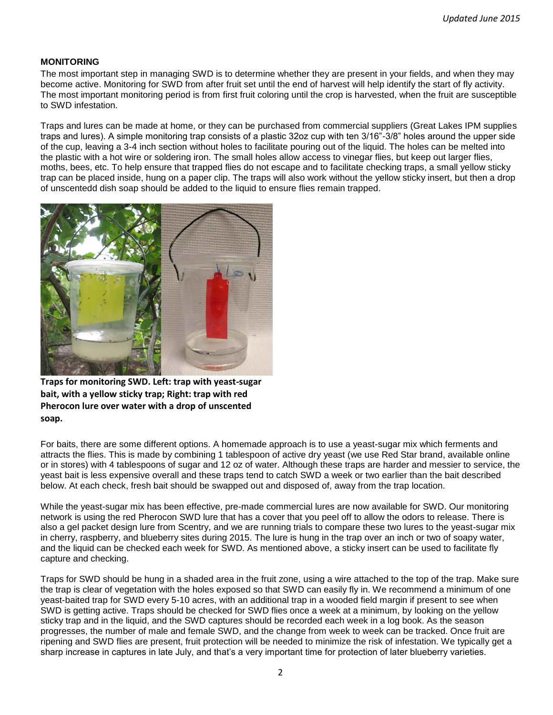#### **MONITORING**

The most important step in managing SWD is to determine whether they are present in your fields, and when they may become active. Monitoring for SWD from after fruit set until the end of harvest will help identify the start of fly activity. The most important monitoring period is from first fruit coloring until the crop is harvested, when the fruit are susceptible to SWD infestation.

Traps and lures can be made at home, or they can be purchased from commercial suppliers (Great Lakes IPM supplies traps and lures). A simple monitoring trap consists of a plastic 32oz cup with ten 3/16"-3/8" holes around the upper side of the cup, leaving a 3-4 inch section without holes to facilitate pouring out of the liquid. The holes can be melted into the plastic with a hot wire or soldering iron. The small holes allow access to vinegar flies, but keep out larger flies, moths, bees, etc. To help ensure that trapped flies do not escape and to facilitate checking traps, a small yellow sticky trap can be placed inside, hung on a paper clip. The traps will also work without the yellow sticky insert, but then a drop of unscentedd dish soap should be added to the liquid to ensure flies remain trapped.



**Traps for monitoring SWD. Left: trap with yeast-sugar bait, with a yellow sticky trap; Right: trap with red Pherocon lure over water with a drop of unscented soap.** 

For baits, there are some different options. A homemade approach is to use a yeast-sugar mix which ferments and attracts the flies. This is made by combining 1 tablespoon of active dry yeast (we use Red Star brand, available online or in stores) with 4 tablespoons of sugar and 12 oz of water. Although these traps are harder and messier to service, the yeast bait is less expensive overall and these traps tend to catch SWD a week or two earlier than the bait described below. At each check, fresh bait should be swapped out and disposed of, away from the trap location.

While the yeast-sugar mix has been effective, pre-made commercial lures are now available for SWD. Our monitoring network is using the red Pherocon SWD lure that has a cover that you peel off to allow the odors to release. There is also a gel packet design lure from Scentry, and we are running trials to compare these two lures to the yeast-sugar mix in cherry, raspberry, and blueberry sites during 2015. The lure is hung in the trap over an inch or two of soapy water, and the liquid can be checked each week for SWD. As mentioned above, a sticky insert can be used to facilitate fly capture and checking.

Traps for SWD should be hung in a shaded area in the fruit zone, using a wire attached to the top of the trap. Make sure the trap is clear of vegetation with the holes exposed so that SWD can easily fly in. We recommend a minimum of one yeast-baited trap for SWD every 5-10 acres, with an additional trap in a wooded field margin if present to see when SWD is getting active. Traps should be checked for SWD flies once a week at a minimum, by looking on the yellow sticky trap and in the liquid, and the SWD captures should be recorded each week in a log book. As the season progresses, the number of male and female SWD, and the change from week to week can be tracked. Once fruit are ripening and SWD flies are present, fruit protection will be needed to minimize the risk of infestation. We typically get a sharp increase in captures in late July, and that's a very important time for protection of later blueberry varieties.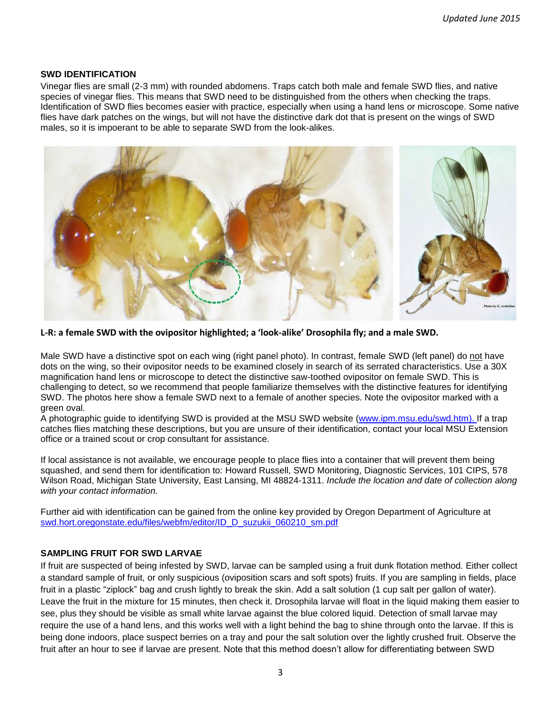#### **SWD IDENTIFICATION**

Vinegar flies are small (2-3 mm) with rounded abdomens. Traps catch both male and female SWD flies, and native species of vinegar flies. This means that SWD need to be distinguished from the others when checking the traps. Identification of SWD flies becomes easier with practice, especially when using a hand lens or microscope. Some native flies have dark patches on the wings, but will not have the distinctive dark dot that is present on the wings of SWD males, so it is impoerant to be able to separate SWD from the look-alikes.



**L-R: a female SWD with the ovipositor highlighted; a 'look-alike' Drosophila fly; and a male SWD.** 

Male SWD have a distinctive spot on each wing (right panel photo). In contrast, female SWD (left panel) do not have dots on the wing, so their ovipositor needs to be examined closely in search of its serrated characteristics. Use a 30X magnification hand lens or microscope to detect the distinctive saw-toothed ovipositor on female SWD. This is challenging to detect, so we recommend that people familiarize themselves with the distinctive features for identifying SWD. The photos here show a female SWD next to a female of another species. Note the ovipositor marked with a green oval.

A photographic guide to identifying SWD is provided at the MSU SWD website [\(www.ipm.msu.edu/swd.htm\)](http://www.ipm.msu.edu/swd.htm). If a trap catches flies matching these descriptions, but you are unsure of their identification, contact your local MSU Extension office or a trained scout or crop consultant for assistance.

If local assistance is not available, we encourage people to place flies into a container that will prevent them being squashed, and send them for identification to: Howard Russell, SWD Monitoring, Diagnostic Services, 101 CIPS, 578 Wilson Road, Michigan State University, East Lansing, MI 48824-1311. *Include the location and date of collection along with your contact information.*

Further aid with identification can be gained from the online key provided by Oregon Department of Agriculture at swd.hort.oregonstate.edu/files/webfm/editor/ID\_D\_suzukii\_060210\_sm.pdf

#### **SAMPLING FRUIT FOR SWD LARVAE**

If fruit are suspected of being infested by SWD, larvae can be sampled using a fruit dunk flotation method. Either collect a standard sample of fruit, or only suspicious (oviposition scars and soft spots) fruits. If you are sampling in fields, place fruit in a plastic "ziplock" bag and crush lightly to break the skin. Add a salt solution (1 cup salt per gallon of water). Leave the fruit in the mixture for 15 minutes, then check it. Drosophila larvae will float in the liquid making them easier to see, plus they should be visible as small white larvae against the blue colored liquid. Detection of small larvae may require the use of a hand lens, and this works well with a light behind the bag to shine through onto the larvae. If this is being done indoors, place suspect berries on a tray and pour the salt solution over the lightly crushed fruit. Observe the fruit after an hour to see if larvae are present. Note that this method doesn't allow for differentiating between SWD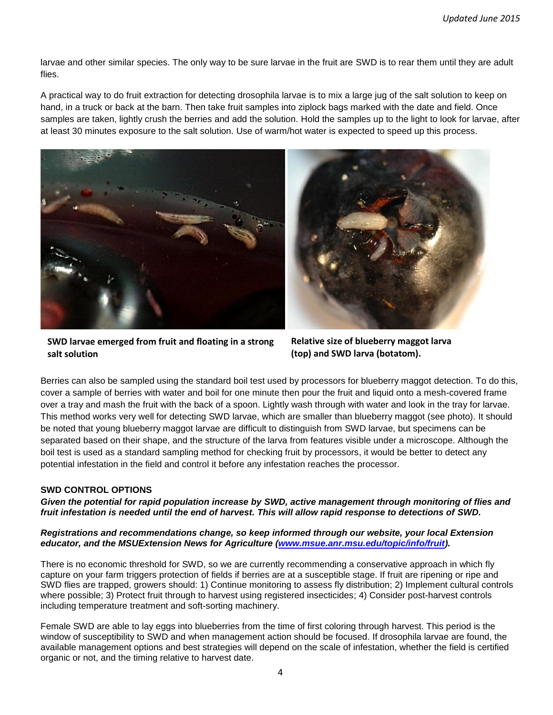larvae and other similar species. The only way to be sure larvae in the fruit are SWD is to rear them until they are adult flies.

A practical way to do fruit extraction for detecting drosophila larvae is to mix a large jug of the salt solution to keep on hand, in a truck or back at the barn. Then take fruit samples into ziplock bags marked with the date and field. Once samples are taken, lightly crush the berries and add the solution. Hold the samples up to the light to look for larvae, after at least 30 minutes exposure to the salt solution. Use of warm/hot water is expected to speed up this process.





**SWD larvae emerged from fruit and floating in a strong salt solution**

**Relative size of blueberry maggot larva (top) and SWD larva (botatom).**

Berries can also be sampled using the standard boil test used by processors for blueberry maggot detection. To do this, cover a sample of berries with water and boil for one minute then pour the fruit and liquid onto a mesh-covered frame over a tray and mash the fruit with the back of a spoon. Lightly wash through with water and look in the tray for larvae. This method works very well for detecting SWD larvae, which are smaller than blueberry maggot (see photo). It should be noted that young blueberry maggot larvae are difficult to distinguish from SWD larvae, but specimens can be separated based on their shape, and the structure of the larva from features visible under a microscope. Although the boil test is used as a standard sampling method for checking fruit by processors, it would be better to detect any potential infestation in the field and control it before any infestation reaches the processor.

## **SWD CONTROL OPTIONS**

*Given the potential for rapid population increase by SWD, active management through monitoring of flies and fruit infestation is needed until the end of harvest. This will allow rapid response to detections of SWD.*

*Registrations and recommendations change, so keep informed through our website, your local Extension educator, and the MSUExtension News for Agriculture [\(www.msue.anr.msu.edu/topic/info/fruit\)](http://www.msue.anr.msu.edu/topic/info/fruit).*

There is no economic threshold for SWD, so we are currently recommending a conservative approach in which fly capture on your farm triggers protection of fields if berries are at a susceptible stage. If fruit are ripening or ripe and SWD flies are trapped, growers should: 1) Continue monitoring to assess fly distribution; 2) Implement cultural controls where possible; 3) Protect fruit through to harvest using registered insecticides; 4) Consider post-harvest controls including temperature treatment and soft-sorting machinery.

Female SWD are able to lay eggs into blueberries from the time of first coloring through harvest. This period is the window of susceptibility to SWD and when management action should be focused. If drosophila larvae are found, the available management options and best strategies will depend on the scale of infestation, whether the field is certified organic or not, and the timing relative to harvest date.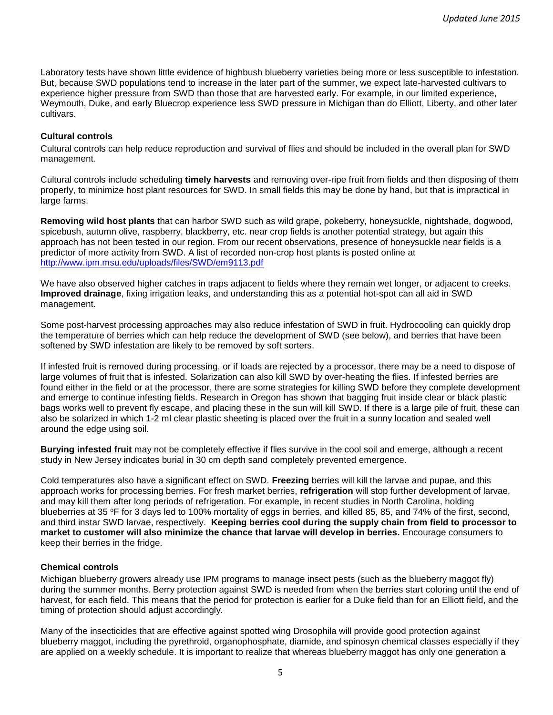Laboratory tests have shown little evidence of highbush blueberry varieties being more or less susceptible to infestation. But, because SWD populations tend to increase in the later part of the summer, we expect late-harvested cultivars to experience higher pressure from SWD than those that are harvested early. For example, in our limited experience, Weymouth, Duke, and early Bluecrop experience less SWD pressure in Michigan than do Elliott, Liberty, and other later cultivars.

#### **Cultural controls**

Cultural controls can help reduce reproduction and survival of flies and should be included in the overall plan for SWD management.

Cultural controls include scheduling **timely harvests** and removing over-ripe fruit from fields and then disposing of them properly, to minimize host plant resources for SWD. In small fields this may be done by hand, but that is impractical in large farms.

**Removing wild host plants** that can harbor SWD such as wild grape, pokeberry, honeysuckle, nightshade, dogwood, spicebush, autumn olive, raspberry, blackberry, etc. near crop fields is another potential strategy, but again this approach has not been tested in our region. From our recent observations, presence of honeysuckle near fields is a predictor of more activity from SWD. A list of recorded non-crop host plants is posted online at <http://www.ipm.msu.edu/uploads/files/SWD/em9113.pdf>

We have also observed higher catches in traps adjacent to fields where they remain wet longer, or adjacent to creeks. **Improved drainage**, fixing irrigation leaks, and understanding this as a potential hot-spot can all aid in SWD management.

Some post-harvest processing approaches may also reduce infestation of SWD in fruit. Hydrocooling can quickly drop the temperature of berries which can help reduce the development of SWD (see below), and berries that have been softened by SWD infestation are likely to be removed by soft sorters.

If infested fruit is removed during processing, or if loads are rejected by a processor, there may be a need to dispose of large volumes of fruit that is infested. Solarization can also kill SWD by over-heating the flies. If infested berries are found either in the field or at the processor, there are some strategies for killing SWD before they complete development and emerge to continue infesting fields. Research in Oregon has shown that bagging fruit inside clear or black plastic bags works well to prevent fly escape, and placing these in the sun will kill SWD. If there is a large pile of fruit, these can also be solarized in which 1-2 ml clear plastic sheeting is placed over the fruit in a sunny location and sealed well around the edge using soil.

**Burying infested fruit** may not be completely effective if flies survive in the cool soil and emerge, although a recent study in New Jersey indicates burial in 30 cm depth sand completely prevented emergence.

Cold temperatures also have a significant effect on SWD. **Freezing** berries will kill the larvae and pupae, and this approach works for processing berries. For fresh market berries, **refrigeration** will stop further development of larvae, and may kill them after long periods of refrigeration. For example, in recent studies in North Carolina, holding blueberries at 35 °F for 3 days led to 100% mortality of eggs in berries, and killed 85, 85, and 74% of the first, second, and third instar SWD larvae, respectively. **Keeping berries cool during the supply chain from field to processor to market to customer will also minimize the chance that larvae will develop in berries.** Encourage consumers to keep their berries in the fridge.

#### **Chemical controls**

Michigan blueberry growers already use IPM programs to manage insect pests (such as the blueberry maggot fly) during the summer months. Berry protection against SWD is needed from when the berries start coloring until the end of harvest, for each field. This means that the period for protection is earlier for a Duke field than for an Elliott field, and the timing of protection should adjust accordingly.

Many of the insecticides that are effective against spotted wing Drosophila will provide good protection against blueberry maggot, including the pyrethroid, organophosphate, diamide, and spinosyn chemical classes especially if they are applied on a weekly schedule. It is important to realize that whereas blueberry maggot has only one generation a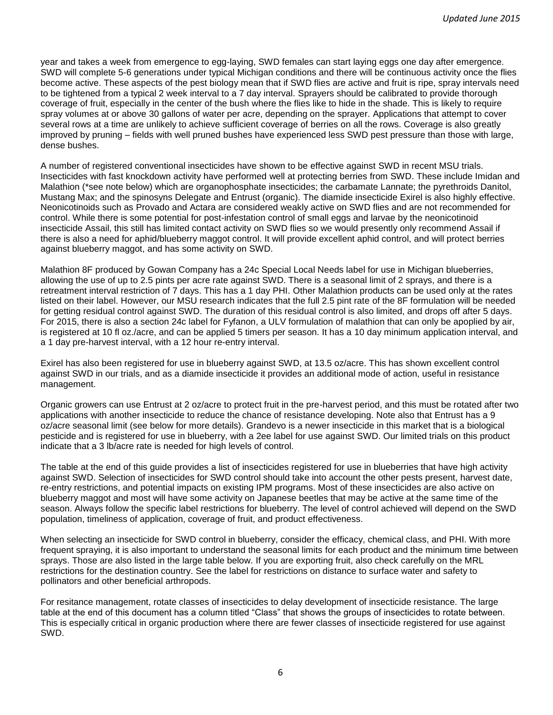year and takes a week from emergence to egg-laying, SWD females can start laying eggs one day after emergence. SWD will complete 5-6 generations under typical Michigan conditions and there will be continuous activity once the flies become active. These aspects of the pest biology mean that if SWD flies are active and fruit is ripe, spray intervals need to be tightened from a typical 2 week interval to a 7 day interval. Sprayers should be calibrated to provide thorough coverage of fruit, especially in the center of the bush where the flies like to hide in the shade. This is likely to require spray volumes at or above 30 gallons of water per acre, depending on the sprayer. Applications that attempt to cover several rows at a time are unlikely to achieve sufficient coverage of berries on all the rows. Coverage is also greatly improved by pruning – fields with well pruned bushes have experienced less SWD pest pressure than those with large, dense bushes.

A number of registered conventional insecticides have shown to be effective against SWD in recent MSU trials. Insecticides with fast knockdown activity have performed well at protecting berries from SWD. These include Imidan and Malathion (\*see note below) which are organophosphate insecticides; the carbamate Lannate; the pyrethroids Danitol, Mustang Max; and the spinosyns Delegate and Entrust (organic). The diamide insecticide Exirel is also highly effective. Neonicotinoids such as Provado and Actara are considered weakly active on SWD flies and are not recommended for control. While there is some potential for post-infestation control of small eggs and larvae by the neonicotinoid insecticide Assail, this still has limited contact activity on SWD flies so we would presently only recommend Assail if there is also a need for aphid/blueberry maggot control. It will provide excellent aphid control, and will protect berries against blueberry maggot, and has some activity on SWD.

Malathion 8F produced by Gowan Company has a 24c Special Local Needs label for use in Michigan blueberries, allowing the use of up to 2.5 pints per acre rate against SWD. There is a seasonal limit of 2 sprays, and there is a retreatment interval restriction of 7 days. This has a 1 day PHI. Other Malathion products can be used only at the rates listed on their label. However, our MSU research indicates that the full 2.5 pint rate of the 8F formulation will be needed for getting residual control against SWD. The duration of this residual control is also limited, and drops off after 5 days. For 2015, there is also a section 24c label for Fyfanon, a ULV formulation of malathion that can only be apoplied by air, is registered at 10 fl oz./acre, and can be applied 5 timers per season. It has a 10 day minimum application interval, and a 1 day pre-harvest interval, with a 12 hour re-entry interval.

Exirel has also been registered for use in blueberry against SWD, at 13.5 oz/acre. This has shown excellent control against SWD in our trials, and as a diamide insecticide it provides an additional mode of action, useful in resistance management.

Organic growers can use Entrust at 2 oz/acre to protect fruit in the pre-harvest period, and this must be rotated after two applications with another insecticide to reduce the chance of resistance developing. Note also that Entrust has a 9 oz/acre seasonal limit (see below for more details). Grandevo is a newer insecticide in this market that is a biological pesticide and is registered for use in blueberry, with a 2ee label for use against SWD. Our limited trials on this product indicate that a 3 lb/acre rate is needed for high levels of control.

The table at the end of this guide provides a list of insecticides registered for use in blueberries that have high activity against SWD. Selection of insecticides for SWD control should take into account the other pests present, harvest date, re-entry restrictions, and potential impacts on existing IPM programs. Most of these insecticides are also active on blueberry maggot and most will have some activity on Japanese beetles that may be active at the same time of the season. Always follow the specific label restrictions for blueberry. The level of control achieved will depend on the SWD population, timeliness of application, coverage of fruit, and product effectiveness.

When selecting an insecticide for SWD control in blueberry, consider the efficacy, chemical class, and PHI. With more frequent spraying, it is also important to understand the seasonal limits for each product and the minimum time between sprays. Those are also listed in the large table below. If you are exporting fruit, also check carefully on the MRL restrictions for the destination country. See the label for restrictions on distance to surface water and safety to pollinators and other beneficial arthropods.

For resitance management, rotate classes of insecticides to delay development of insecticide resistance. The large table at the end of this document has a column titled "Class" that shows the groups of insecticides to rotate between. This is especially critical in organic production where there are fewer classes of insecticide registered for use against SWD.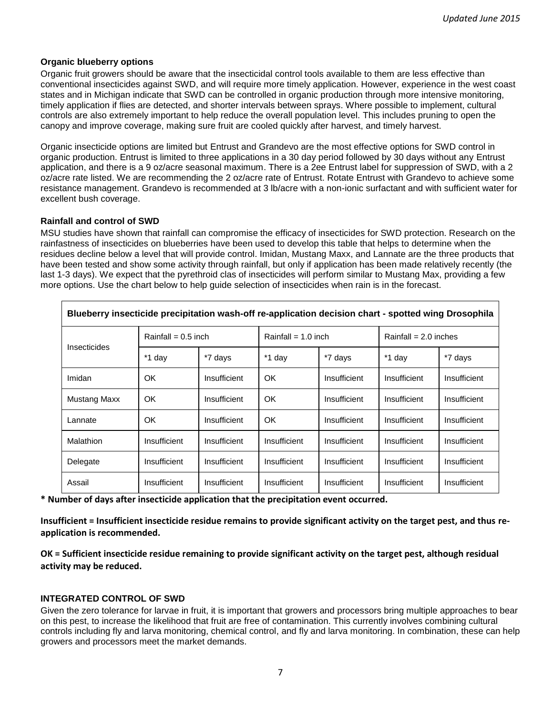#### **Organic blueberry options**

Organic fruit growers should be aware that the insecticidal control tools available to them are less effective than conventional insecticides against SWD, and will require more timely application. However, experience in the west coast states and in Michigan indicate that SWD can be controlled in organic production through more intensive monitoring, timely application if flies are detected, and shorter intervals between sprays. Where possible to implement, cultural controls are also extremely important to help reduce the overall population level. This includes pruning to open the canopy and improve coverage, making sure fruit are cooled quickly after harvest, and timely harvest.

Organic insecticide options are limited but Entrust and Grandevo are the most effective options for SWD control in organic production. Entrust is limited to three applications in a 30 day period followed by 30 days without any Entrust application, and there is a 9 oz/acre seasonal maximum. There is a 2ee Entrust label for suppression of SWD, with a 2 oz/acre rate listed. We are recommending the 2 oz/acre rate of Entrust. Rotate Entrust with Grandevo to achieve some resistance management. Grandevo is recommended at 3 lb/acre with a non-ionic surfactant and with sufficient water for excellent bush coverage.

### **Rainfall and control of SWD**

MSU studies have shown that rainfall can compromise the efficacy of insecticides for SWD protection. Research on the rainfastness of insecticides on blueberries have been used to develop this table that helps to determine when the residues decline below a level that will provide control. Imidan, Mustang Maxx, and Lannate are the three products that have been tested and show some activity through rainfall, but only if application has been made relatively recently (the last 1-3 days). We expect that the pyrethroid clas of insecticides will perform similar to Mustang Max, providing a few more options. Use the chart below to help guide selection of insecticides when rain is in the forecast.

| Blueberry insecticide precipitation wash-off re-application decision chart - spotted wing Drosophila |                       |              |                       |              |                         |              |  |  |  |
|------------------------------------------------------------------------------------------------------|-----------------------|--------------|-----------------------|--------------|-------------------------|--------------|--|--|--|
| <b>Insecticides</b>                                                                                  | Rainfall = $0.5$ inch |              | Rainfall = $1.0$ inch |              | Rainfall = $2.0$ inches |              |  |  |  |
|                                                                                                      | *1 day                | *7 days      | *1 day                | *7 days      | *1 day                  | *7 days      |  |  |  |
| Imidan                                                                                               | OK.                   | Insufficient | OK                    | Insufficient | Insufficient            | Insufficient |  |  |  |
| <b>Mustang Maxx</b>                                                                                  | OK                    | Insufficient | OK                    | Insufficient | Insufficient            | Insufficient |  |  |  |
| Lannate                                                                                              | OK                    | Insufficient | OK                    | Insufficient | Insufficient            | Insufficient |  |  |  |
| Malathion                                                                                            | Insufficient          | Insufficient | Insufficient          | Insufficient | Insufficient            | Insufficient |  |  |  |
| Delegate                                                                                             | Insufficient          | Insufficient | Insufficient          | Insufficient | Insufficient            | Insufficient |  |  |  |
| Assail                                                                                               | Insufficient          | Insufficient | Insufficient          | Insufficient | Insufficient            | Insufficient |  |  |  |

**\* Number of days after insecticide application that the precipitation event occurred.**

**Insufficient = Insufficient insecticide residue remains to provide significant activity on the target pest, and thus reapplication is recommended.**

**OK = Sufficient insecticide residue remaining to provide significant activity on the target pest, although residual activity may be reduced.**

## **INTEGRATED CONTROL OF SWD**

Given the zero tolerance for larvae in fruit, it is important that growers and processors bring multiple approaches to bear on this pest, to increase the likelihood that fruit are free of contamination. This currently involves combining cultural controls including fly and larva monitoring, chemical control, and fly and larva monitoring. In combination, these can help growers and processors meet the market demands.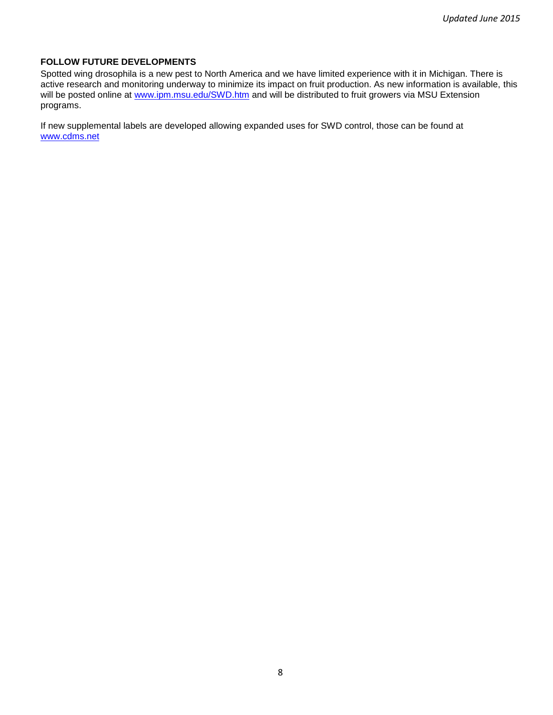## **FOLLOW FUTURE DEVELOPMENTS**

Spotted wing drosophila is a new pest to North America and we have limited experience with it in Michigan. There is active research and monitoring underway to minimize its impact on fruit production. As new information is available, this will be posted online at [www.ipm.msu.edu/SWD.htm](http://www.ipm.msu.edu/SWD.htm) and will be distributed to fruit growers via MSU Extension programs.

If new supplemental labels are developed allowing expanded uses for SWD control, those can be found at [www.cdms.net](http://www.cdms.net/)